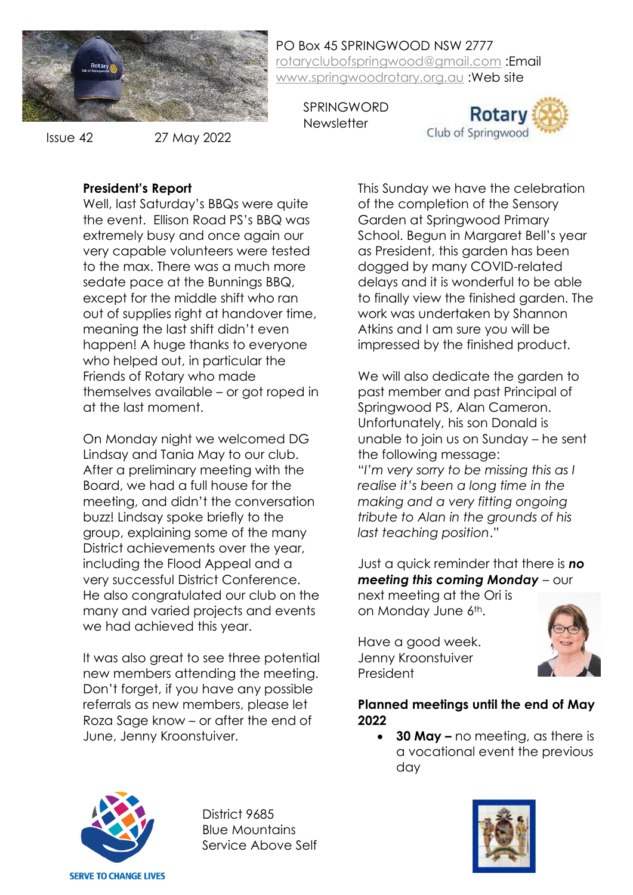

Issue 42

27 May 2022

PO Box 45 SPRINGWOOD NSW 2777 [rotaryclubofspringwood@gmail.com](mailto:rotaryclubofspringwood@gmail.com) :Email [www.springwoodrotary.org.au](http://www.springwoodrotary.org.au/) :Web site

SPRINGWORD **Newsletter** 



#### **President's Report**

Well, last Saturday's BBQs were quite the event. Ellison Road PS's BBQ was extremely busy and once again our very capable volunteers were tested to the max. There was a much more sedate pace at the Bunnings BBQ, except for the middle shift who ran out of supplies right at handover time, meaning the last shift didn't even happen! A huge thanks to everyone who helped out, in particular the Friends of Rotary who made themselves available – or got roped in at the last moment.

On Monday night we welcomed DG Lindsay and Tania May to our club. After a preliminary meeting with the Board, we had a full house for the meeting, and didn't the conversation buzz! Lindsay spoke briefly to the group, explaining some of the many District achievements over the year, including the Flood Appeal and a very successful District Conference. He also congratulated our club on the many and varied projects and events we had achieved this year.

It was also great to see three potential new members attending the meeting. Don't forget, if you have any possible referrals as new members, please let Roza Sage know – or after the end of June, Jenny Kroonstuiver.

This Sunday we have the celebration of the completion of the Sensory Garden at Springwood Primary School. Begun in Margaret Bell's year as President, this garden has been dogged by many COVID-related delays and it is wonderful to be able to finally view the finished garden. The work was undertaken by Shannon Atkins and I am sure you will be impressed by the finished product.

We will also dedicate the garden to past member and past Principal of Springwood PS, Alan Cameron. Unfortunately, his son Donald is unable to join us on Sunday – he sent the following message: "*I'm very sorry to be missing this as I realise it's been a long time in the making and a very fitting ongoing tribute to Alan in the grounds of his last teaching position*."

Just a quick reminder that there is *no meeting this coming Monday* – our next meeting at the Ori is on Monday June 6th.

Have a good week. Jenny Kroonstuiver President



#### **Planned meetings until the end of May 2022**

• **30 May –** no meeting, as there is a vocational event the previous day



District 9685 Blue Mountains Service Above Self

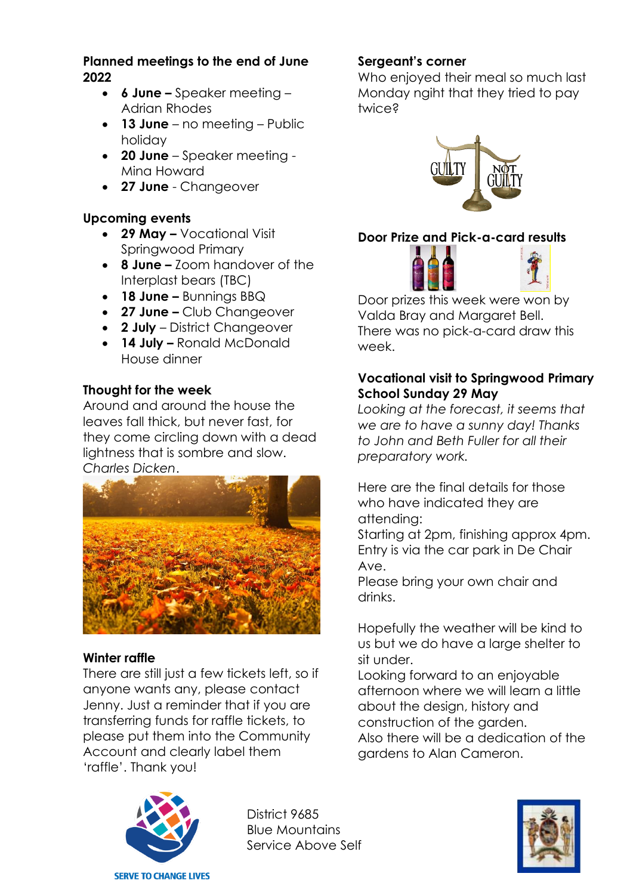#### **Planned meetings to the end of June 2022**

- **6 June –** Speaker meeting Adrian Rhodes
- **13 June**  no meeting Public holiday
- **20 June**  Speaker meeting Mina Howard
- **27 June**  Changeover

## **Upcoming events**

- **29 May –** Vocational Visit Springwood Primary
- **8 June –** Zoom handover of the Interplast bears (TBC)
- **18 June –** Bunnings BBQ
- **27 June –** Club Changeover
- **2 July** District Changeover
- **14 July –** Ronald McDonald House dinner

## **Thought for the week**

Around and around the house the leaves fall thick, but never fast, for they come circling down with a dead lightness that is sombre and slow. *Charles Dicken*.



## **Winter raffle**

There are still just a few tickets left, so if anyone wants any, please contact Jenny. Just a reminder that if you are transferring funds for raffle tickets, to please put them into the Community Account and clearly label them 'raffle'. Thank you!



District 9685 Blue Mountains Service Above Self

## **Sergeant's corner**

Who enjoyed their meal so much last Monday ngiht that they tried to pay twice?



# **Door Prize and Pick-a-card results**



Door prizes this week were won by Valda Bray and Margaret Bell. There was no pick-a-card draw this week.

## **Vocational visit to Springwood Primary School Sunday 29 May**

*Looking at the forecast, it seems that we are to have a sunny day! Thanks to John and Beth Fuller for all their preparatory work.*

Here are the final details for those who have indicated they are attending:

Starting at 2pm, finishing approx 4pm. Entry is via the car park in De Chair Ave.

Please bring your own chair and drinks.

Hopefully the weather will be kind to us but we do have a large shelter to sit under.

Looking forward to an enjoyable afternoon where we will learn a little about the design, history and construction of the garden. Also there will be a dedication of the gardens to Alan Cameron.

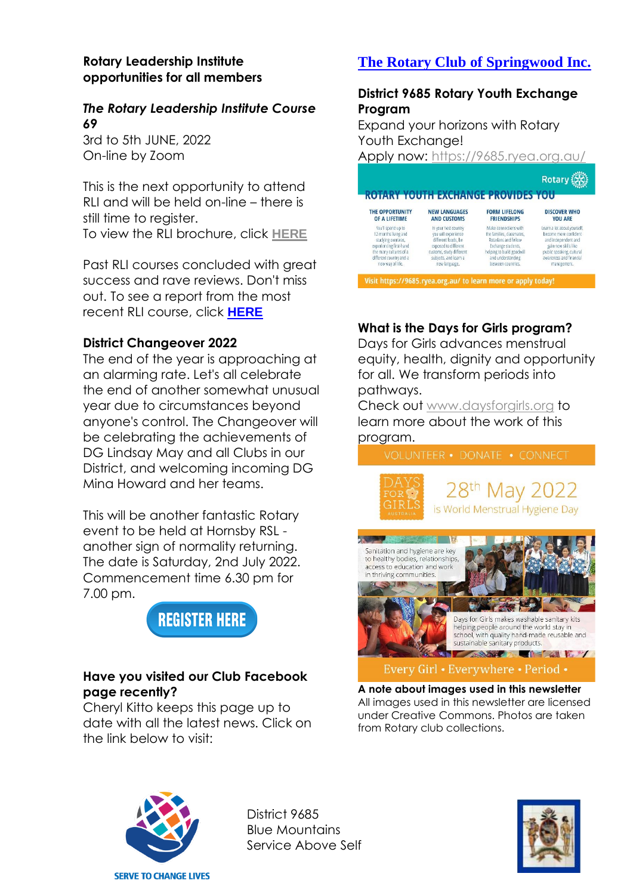#### **Rotary Leadership Institute opportunities for all members**

## *The Rotary Leadership Institute Course 69*

3rd to 5th JUNE, 2022 On-line by Zoom

This is the next opportunity to attend RLI and will be held on-line – there is still time to reaister. To view the RLI brochure, click **[HERE](https://nam12.safelinks.protection.outlook.com/?url=https%3A%2F%2Frotarydistrict9685.org.au%2Fdocuments%2Fen-au%2Ff649553c-6a1e-4abf-90c4-61d28c2939b7%2F1%2F&data=05%7C01%7C%7C583a454add2e4edee25f08da38d7878a%7C84df9e7fe9f640afb435aaaaaaaaaaaa%7C1%7C0%7C637884795642952402%7CUnknown%7CTWFpbGZsb3d8eyJWIjoiMC4wLjAwMDAiLCJQIjoiV2luMzIiLCJBTiI6Ik1haWwiLCJXVCI6Mn0%3D%7C3000%7C%7C%7C&sdata=DXCfTabQQekFoSmiNMfmXoRcmCa%2BhEnvlUzA9GW8fAY%3D&reserved=0)**

Past RLI courses concluded with great success and rave reviews. Don't miss out. To see a report from the most recent RLI course, click **[HERE](https://nam12.safelinks.protection.outlook.com/?url=https%3A%2F%2Fportal.clubrunner.ca%2F50081%2FDocuments%2Fen-au%2Ffd2fda63-e8b2-4294-b6c4-8d8779e4677a%2F1%2F&data=05%7C01%7C%7C583a454add2e4edee25f08da38d7878a%7C84df9e7fe9f640afb435aaaaaaaaaaaa%7C1%7C0%7C637884795642952402%7CUnknown%7CTWFpbGZsb3d8eyJWIjoiMC4wLjAwMDAiLCJQIjoiV2luMzIiLCJBTiI6Ik1haWwiLCJXVCI6Mn0%3D%7C3000%7C%7C%7C&sdata=71pmEnpYwOW%2Fa0YlvF7AP5wiHNqdnAhNMDkVW9nJNbQ%3D&reserved=0)**

## **District Changeover 2022**

The end of the year is approaching at an alarming rate. Let's all celebrate the end of another somewhat unusual year due to circumstances beyond anyone's control. The Changeover will be celebrating the achievements of DG Lindsay May and all Clubs in our District, and welcoming incoming DG Mina Howard and her teams.

This will be another fantastic Rotary event to be held at Hornsby RSL another sign of normality returning. The date is Saturday, 2nd July 2022. Commencement time 6.30 pm for 7.00 pm.



## **Have you visited our Club Facebook page recently?**

Cheryl Kitto keeps this page up to date with all the latest news. Click on the link below to visit:

# **[The Rotary Club of Springwood Inc.](https://www.facebook.com/The-Rotary-Club-of-Springwood-Inc-102548663129755/?__cft__%5b0%5d=AZVptFKx-sFoRw4pyOGwfQlh3gYAUpGcNJQX_uBJwUq_Ni4NmPZvd8OkjxTMdT27XDsJAapyimFoQbxFnoFIZtAUAmu5gwas8Jc1vW3zJM_V35smOQndwkLnsugwhkpfs180AzM8N6mt9tlmMR_dEAha&__tn__=-UC%2CP-R)**

### **District 9685 Rotary Youth Exchange Program**

Expand your horizons with Rotary Youth Exchange!

Apply now:<https://9685.ryea.org.au/>

|                         |                          | <b>ROTARY YOUTH EXCHANGE PROVIDES YOU</b> | <b>Rotary</b>               |
|-------------------------|--------------------------|-------------------------------------------|-----------------------------|
| THE OPPORTUNITY         | <b>NEW LANGUAGES</b>     | <b>FORM LIFELONG</b>                      | <b>DISCOVER WHO</b>         |
| OF A LIFETIME           | <b>AND CUSTOMS</b>       | <b>FRIENDSHIPS</b>                        | <b>YOU ARE</b>              |
| You'll spend up to      | In your host country     | Make connections with                     | Learn a lot about yourself. |
| 12 months living and    | you will experience      | the families, classmates,                 | become more confident.      |
| studying overseas,      | different foods, be      | Rotarians and fellow                      | and independent and         |
| experiencing first-hand | exposed to different     | Exchange students.                        | gain new skills like        |
| the many cultures of a  | customs, study different | helping to build goodwill                 | public speaking, cultural   |
| different country and a | subjects, and learn a    | and understanding                         | awareness and financial     |
| new way of life.        | new language.            | between countries.                        | management.                 |

Visit https://9685.ryea.org.au/ to learn more or apply today!

## **What is the Days for Girls program?**

Days for Girls advances menstrual equity, health, dignity and opportunity for all. We transform periods into pathways.

Check out [www.daysforgirls.org](http://www.daysforgirls.org/) to learn more about the work of this program.





**A note about images used in this newsletter** All images used in this newsletter are licensed under Creative Commons. Photos are taken from Rotary club collections.



District 9685 Blue Mountains Service Above Self